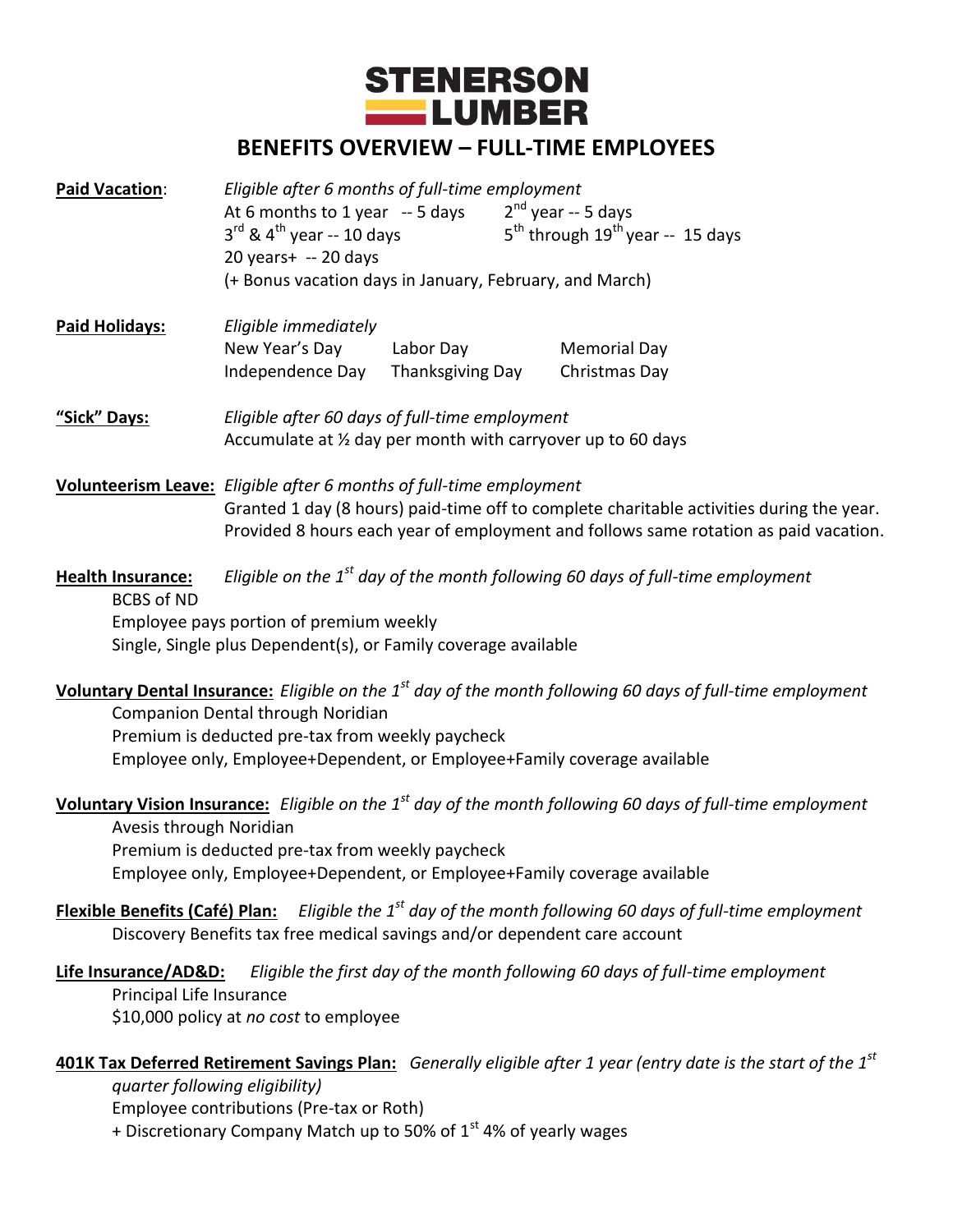

# **BENEFITS OVERVIEW – FULL-TIME EMPLOYEES**

| Paid Vacation: | Eligible after 6 months of full-time employment<br>At 6 months to 1 year -- 5 days<br>$3^{\text{rd}}$ & 4 <sup>th</sup> year -- 10 days<br>$20$ years + -- 20 days<br>(+ Bonus vacation days in January, February, and March) |           | $2^{nd}$ year -- 5 days<br>$5th$ through $19th$ year -- 15 days |  |
|----------------|-------------------------------------------------------------------------------------------------------------------------------------------------------------------------------------------------------------------------------|-----------|-----------------------------------------------------------------|--|
| Paid Holidays: | Eligible immediately<br>New Year's Day                                                                                                                                                                                        | Labor Day | <b>Memorial Day</b>                                             |  |

**"Sick" Days:** *Eligible after 60 days of full-time employment*  Accumulate at ½ day per month with carryover up to 60 days

**Volunteerism Leave:** *Eligible after 6 months of full-time employment* Granted 1 day (8 hours) paid-time off to complete charitable activities during the year. Provided 8 hours each year of employment and follows same rotation as paid vacation.

Independence Day Thanksgiving DayChristmas Day

**Health Insurance:** *Eligible on the 1st day of the month following 60 days of full-time employment* BCBS of ND Employee pays portion of premium weekly Single, Single plus Dependent(s), or Family coverage available

**Voluntary Dental Insurance:** *Eligible on the 1st day of the month following 60 days of full-time employment*

Companion Dental through Noridian Premium is deducted pre-tax from weekly paycheck Employee only, Employee+Dependent, or Employee+Family coverage available

**Voluntary Vision Insurance:** *Eligible on the 1st day of the month following 60 days of full-time employment*

Avesis through Noridian Premium is deducted pre-tax from weekly paycheck Employee only, Employee+Dependent, or Employee+Family coverage available

# **Flexible Benefits (Café) Plan:** *Eligible the 1st day of the month following 60 days of full-time employment* Discovery Benefits tax free medical savings and/or dependent care account

**Life Insurance/AD&D:** *Eligible the first day of the month following 60 days of full-time employment* Principal Life Insurance \$10,000 policy at *no cost* to employee

**401K Tax Deferred Retirement Savings Plan:** *Generally eligible after 1 year (entry date is the start of the 1st quarter following eligibility)*

Employee contributions (Pre-tax or Roth)

+ Discretionary Company Match up to 50% of  $1<sup>st</sup>$  4% of yearly wages